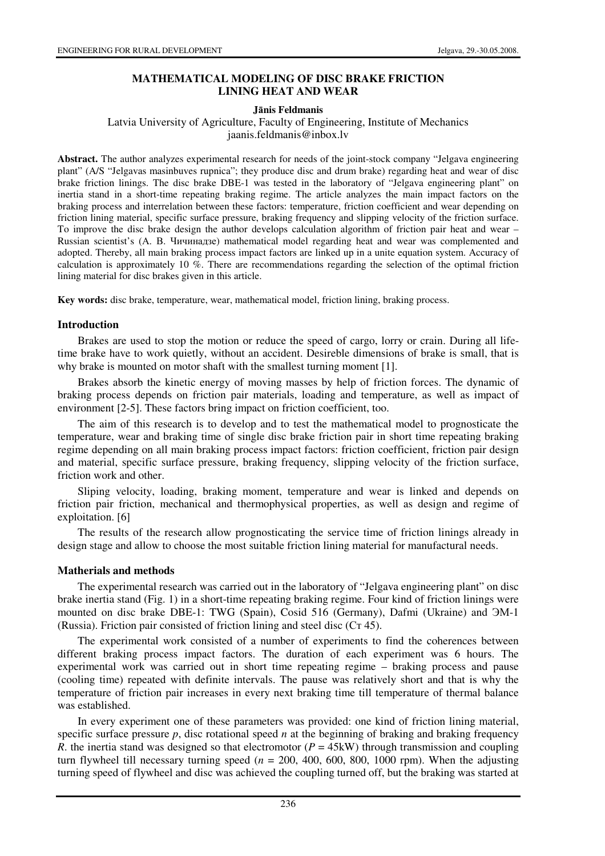# **MATHEMATICAL MODELING OF DISC BRAKE FRICTION LINING HEAT AND WEAR**

## **J**ā**nis Feldmanis**

## Latvia University of Agriculture, Faculty of Engineering, Institute of Mechanics jaanis.feldmanis@inbox.lv

**Abstract.** The author analyzes experimental research for needs of the joint-stock company "Jelgava engineering plant" (A/S "Jelgavas masinbuves rupnica"; they produce disc and drum brake) regarding heat and wear of disc brake friction linings. The disc brake DBE-1 was tested in the laboratory of "Jelgava engineering plant" on inertia stand in a short-time repeating braking regime. The article analyzes the main impact factors on the braking process and interrelation between these factors: temperature, friction coefficient and wear depending on friction lining material, specific surface pressure, braking frequency and slipping velocity of the friction surface. To improve the disc brake design the author develops calculation algorithm of friction pair heat and wear – Russian scientist's (А. В. Чичинадзе) mathematical model regarding heat and wear was complemented and adopted. Thereby, all main braking process impact factors are linked up in a unite equation system. Accuracy of calculation is approximately 10 %. There are recommendations regarding the selection of the optimal friction lining material for disc brakes given in this article.

**Key words:** disc brake, temperature, wear, mathematical model, friction lining, braking process.

### **Introduction**

Brakes are used to stop the motion or reduce the speed of cargo, lorry or crain. During all lifetime brake have to work quietly, without an accident. Desireble dimensions of brake is small, that is why brake is mounted on motor shaft with the smallest turning moment [1].

Brakes absorb the kinetic energy of moving masses by help of friction forces. The dynamic of braking process depends on friction pair materials, loading and temperature, as well as impact of environment [2-5]. These factors bring impact on friction coefficient, too.

The aim of this research is to develop and to test the mathematical model to prognosticate the temperature, wear and braking time of single disc brake friction pair in short time repeating braking regime depending on all main braking process impact factors: friction coefficient, friction pair design and material, specific surface pressure, braking frequency, slipping velocity of the friction surface, friction work and other.

Sliping velocity, loading, braking moment, temperature and wear is linked and depends on friction pair friction, mechanical and thermophysical properties, as well as design and regime of exploitation. [6]

The results of the research allow prognosticating the service time of friction linings already in design stage and allow to choose the most suitable friction lining material for manufactural needs.

### **Matherials and methods**

The experimental research was carried out in the laboratory of "Jelgava engineering plant" on disc brake inertia stand (Fig. 1) in a short-time repeating braking regime. Four kind of friction linings were mounted on disc brake DBE-1: TWG (Spain), Cosid 516 (Germany), Dafmi (Ukraine) and ЭМ-1 (Russia). Friction pair consisted of friction lining and steel disc (Ст 45).

The experimental work consisted of a number of experiments to find the coherences between different braking process impact factors. The duration of each experiment was 6 hours. The experimental work was carried out in short time repeating regime – braking process and pause (cooling time) repeated with definite intervals. The pause was relatively short and that is why the temperature of friction pair increases in every next braking time till temperature of thermal balance was established.

In every experiment one of these parameters was provided: one kind of friction lining material, specific surface pressure  $p$ , disc rotational speed  $n$  at the beginning of braking and braking frequency *R*. the inertia stand was designed so that electromotor ( $P = 45$ kW) through transmission and coupling turn flywheel till necessary turning speed ( $n = 200, 400, 600, 800, 1000$  rpm). When the adjusting turning speed of flywheel and disc was achieved the coupling turned off, but the braking was started at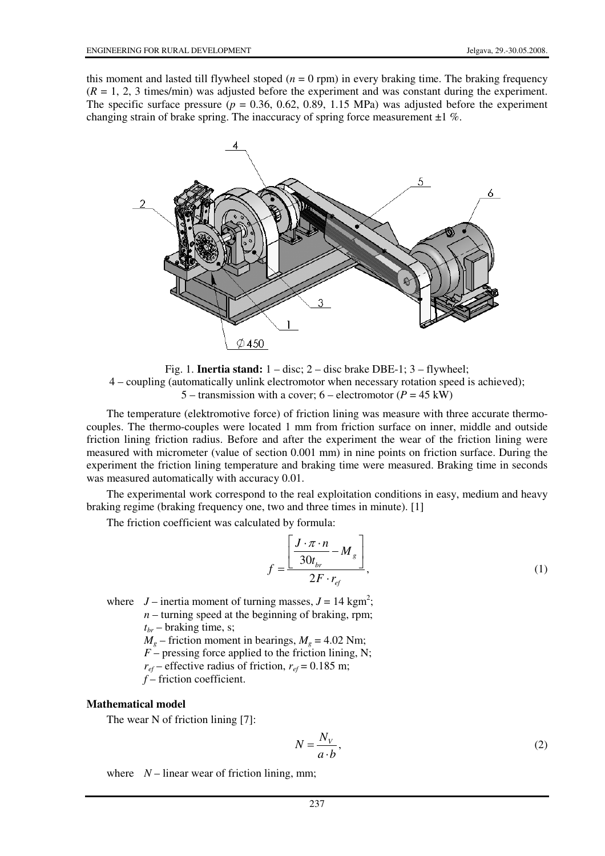this moment and lasted till flywheel stoped  $(n = 0$  rpm) in every braking time. The braking frequency  $(R = 1, 2, 3$  times/min) was adjusted before the experiment and was constant during the experiment. The specific surface pressure  $(p = 0.36, 0.62, 0.89, 1.15 \text{ MPa})$  was adjusted before the experiment changing strain of brake spring. The inaccuracy of spring force measurement  $\pm 1$  %.



Fig. 1. **Inertia stand:** 1 – disc; 2 – disc brake DBE-1; 3 – flywheel; 4 – coupling (automatically unlink electromotor when necessary rotation speed is achieved); 5 – transmission with a cover;  $6$  – electromotor ( $P = 45$  kW)

The temperature (elektromotive force) of friction lining was measure with three accurate thermocouples. The thermo-couples were located 1 mm from friction surface on inner, middle and outside friction lining friction radius. Before and after the experiment the wear of the friction lining were measured with micrometer (value of section 0.001 mm) in nine points on friction surface. During the experiment the friction lining temperature and braking time were measured. Braking time in seconds was measured automatically with accuracy 0.01.

The experimental work correspond to the real exploitation conditions in easy, medium and heavy braking regime (braking frequency one, two and three times in minute). [1]

The friction coefficient was calculated by formula:

$$
f = \frac{\left[ \frac{J \cdot \pi \cdot n}{30t_{br}} - M_g \right]}{2F \cdot r_{ef}},
$$
 (1)

where  $J$  – inertia moment of turning masses,  $J = 14$  kgm<sup>2</sup>;  $n$  – turning speed at the beginning of braking, rpm;  $t_{br}$  – braking time, s;

 $M<sub>g</sub>$  – friction moment in bearings,  $M<sub>g</sub>$  = 4.02 Nm;

 $F$  – pressing force applied to the friction lining, N;

 $r_{ef}$  – effective radius of friction,  $r_{ef}$  = 0.185 m;

*f* – friction coefficient.

#### **Mathematical model**

The wear N of friction lining [7]:

$$
N = \frac{N_V}{a \cdot b},\tag{2}
$$

where  $N-$  linear wear of friction lining, mm;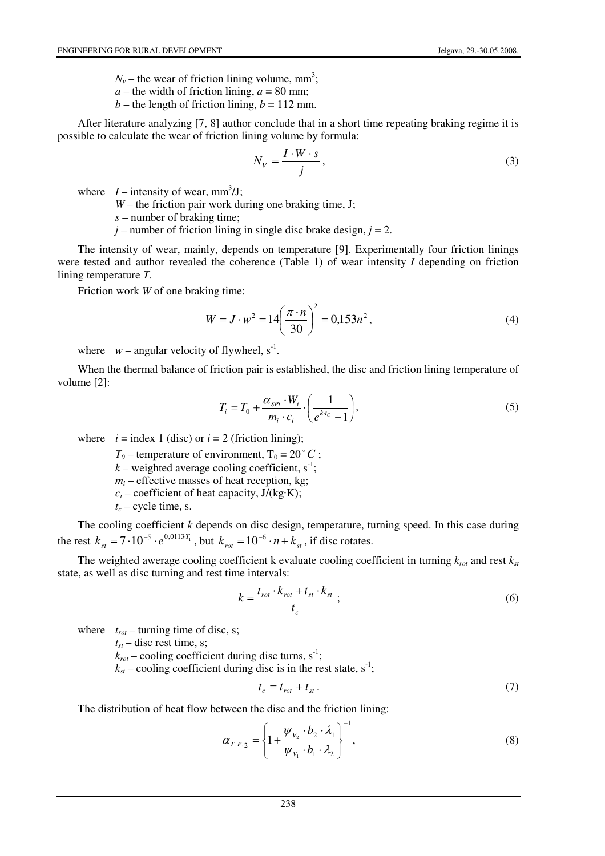$N_v$  – the wear of friction lining volume, mm<sup>3</sup>;

 $a$  – the width of friction lining,  $a$  = 80 mm;

 $b$  – the length of friction lining,  $b = 112$  mm.

After literature analyzing [7, 8] author conclude that in a short time repeating braking regime it is possible to calculate the wear of friction lining volume by formula:

$$
N_V = \frac{I \cdot W \cdot s}{j},\tag{3}
$$

where  $I$  – intensity of wear, mm<sup>3</sup>/J;

*W* – the friction pair work during one braking time, J;

*s* – number of braking time;

 $j$  – number of friction lining in single disc brake design,  $j = 2$ .

The intensity of wear, mainly, depends on temperature [9]. Experimentally four friction linings were tested and author revealed the coherence (Table 1) of wear intensity *I* depending on friction lining temperature *T*.

Friction work *W* of one braking time:

$$
W = J \cdot w^2 = 14 \left(\frac{\pi \cdot n}{30}\right)^2 = 0,153n^2,
$$
 (4)

where  $w$  – angular velocity of flywheel,  $s^{-1}$ .

When the thermal balance of friction pair is established, the disc and friction lining temperature of volume [2]:

$$
T_i = T_0 + \frac{\alpha_{\text{SPI}} \cdot W_i}{m_i \cdot c_i} \cdot \left(\frac{1}{e^{kt_c} - 1}\right),\tag{5}
$$

where  $i =$  index 1 (disc) or  $i = 2$  (friction lining);

 $T_0$  – temperature of environment,  $T_0 = 20$  ° *C*;

 $k$  – weighted average cooling coefficient,  $s^{-1}$ ;

 $m_i$  – effective masses of heat reception, kg;

- $c_i$  coefficient of heat capacity,  $J/(kg·K)$ ;
- $t_c$  cycle time, s.

The cooling coefficient *k* depends on disc design, temperature, turning speed. In this case during the rest  $k_{st} = 7 \cdot 10^{-5} \cdot e^{0.0113 \cdot T_1}$ , but  $k_{rot} = 10^{-6} \cdot n + k_{st}$ , if disc rotates.

The weighted awerage cooling coefficient k evaluate cooling coefficient in turning  $k_{rot}$  and rest  $k_{st}$ state, as well as disc turning and rest time intervals:

$$
k = \frac{t_{rot} \cdot k_{rot} + t_{st} \cdot k_{st}}{t_c};
$$
\n<sup>(6)</sup>

where  $t_{rot}$  – turning time of disc, s;

 $t<sub>st</sub>$  – disc rest time, s;

 $k_{rot}$  – cooling coefficient during disc turns, s<sup>-1</sup>;

 $k_{st}$  – cooling coefficient during disc is in the rest state,  $s^{-1}$ ;

$$
t_c = t_{rot} + t_{st} \,. \tag{7}
$$

The distribution of heat flow between the disc and the friction lining:

$$
\alpha_{T.P.2} = \left\{ 1 + \frac{\psi_{V_2} \cdot b_2 \cdot \lambda_1}{\psi_{V_1} \cdot b_1 \cdot \lambda_2} \right\}^{-1},
$$
\n(8)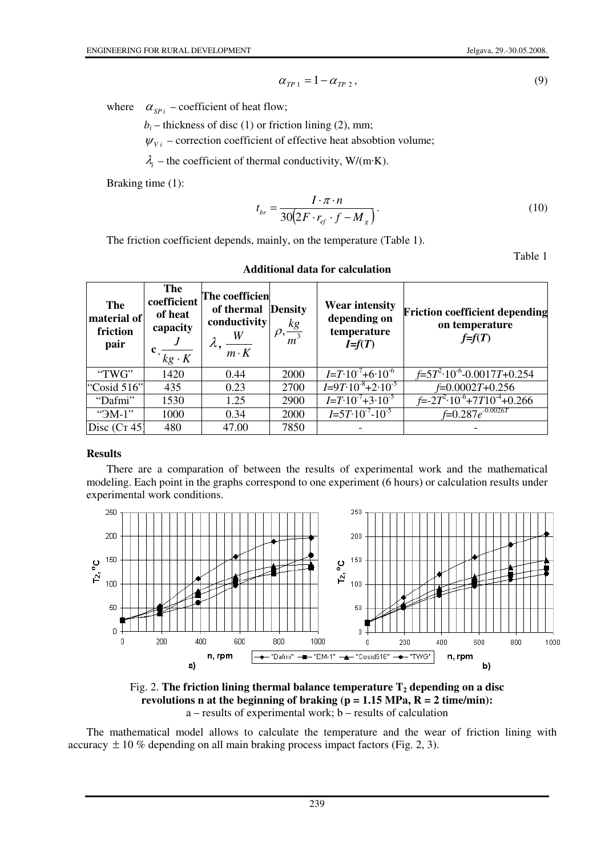$$
\alpha_{TP\,1} = 1 - \alpha_{TP\,2},\tag{9}
$$

where  $\alpha_{SPi}$  – coefficient of heat flow;

 $b_i$  – thickness of disc (1) or friction lining (2), mm;

 $\psi_{Vi}$  – correction coefficient of effective heat absobtion volume;

 $\lambda_i$  – the coefficient of thermal conductivity, W/(m·K).

Braking time (1):

$$
t_{br} = \frac{I \cdot \pi \cdot n}{30(2F \cdot r_{ef} \cdot f - M_g)}.
$$
 (10)

The friction coefficient depends, mainly, on the temperature (Table 1).

Table 1

| The<br>material of<br>friction<br>pair | The<br>coefficient<br>of heat<br>capacity<br>$kg \cdot K$ | The coefficien<br>of thermal<br>conductivity<br>W<br>$m \cdot K$ | <b>Density</b><br>$\rho, \frac{kg}{m^3}$ | <b>Wear intensity</b><br>depending on<br>temperature<br>$I=f(T)$ | <b>Friction coefficient depending</b><br>on temperature<br>$f=f(T)$ |
|----------------------------------------|-----------------------------------------------------------|------------------------------------------------------------------|------------------------------------------|------------------------------------------------------------------|---------------------------------------------------------------------|
| "TWG"                                  | 1420                                                      | 0.44                                                             | 2000                                     | $I = T \cdot 10^{-7} + 6 \cdot 10^{-6}$                          | $f=5T^2.10^{-6} - 0.0017T + 0.254$                                  |
| "Cosid $516"$                          | 435                                                       | 0.23                                                             | 2700                                     | $I=9T \cdot 10^{-8}+2 \cdot 10^{-5}$                             | $f=0.0002T+0.256$                                                   |
| "Dafmi"                                | 1530                                                      | 1.25                                                             | 2900                                     | $I=T \cdot 10^{-7} + 3 \cdot 10^{-5}$                            | $f = -2T^2 \cdot 10^{-6} + 7T10^{-4} + 0.266$                       |
| " $-M-1$ "                             | 1000                                                      | 0.34                                                             | 2000                                     | $I=5T \cdot 10^{-7} - 10^{-5}$                                   | $f=0.287e^{-0.0026T}$                                               |
| Disc $(CT 45)$                         | 480                                                       | 47.00                                                            | 7850                                     |                                                                  |                                                                     |

#### **Additional data for calculation**

### **Results**

There are a comparation of between the results of experimental work and the mathematical modeling. Each point in the graphs correspond to one experiment (6 hours) or calculation results under experimental work conditions.



Fig. 2. **The friction lining thermal balance temperature T2 depending on a disc revolutions n at the beginning of braking (p = 1.15 MPa, R = 2 time/min):** a – results of experimental work; b – results of calculation

The mathematical model allows to calculate the temperature and the wear of friction lining with accuracy  $\pm 10$  % depending on all main braking process impact factors (Fig. 2, 3).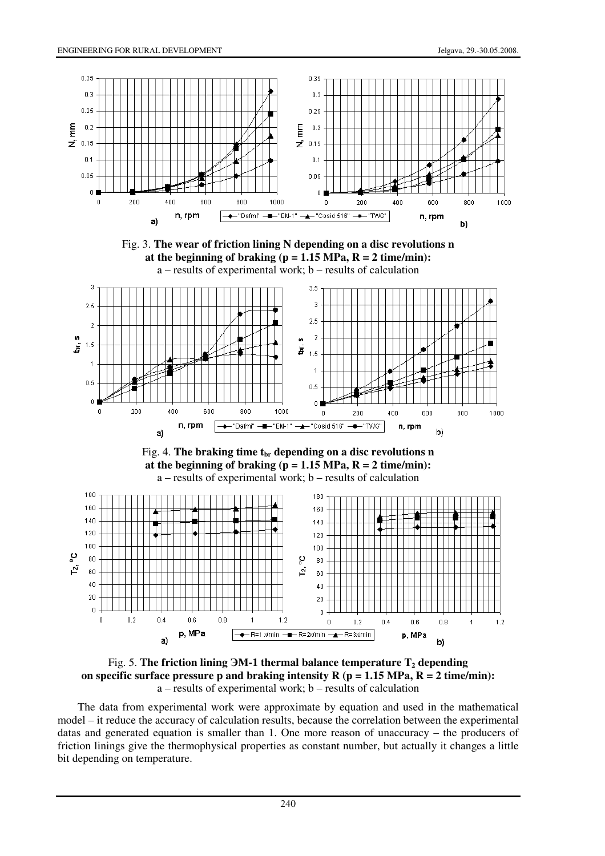









Fig. 5. **The friction lining** ЭМ**-1 thermal balance temperature T2 depending**  on specific surface pressure p and braking intensity  $R$  ( $p = 1.15$  MPa,  $R = 2$  time/min): a – results of experimental work; b – results of calculation

The data from experimental work were approximate by equation and used in the mathematical model – it reduce the accuracy of calculation results, because the correlation between the experimental datas and generated equation is smaller than 1. One more reason of unaccuracy – the producers of friction linings give the thermophysical properties as constant number, but actually it changes a little bit depending on temperature.